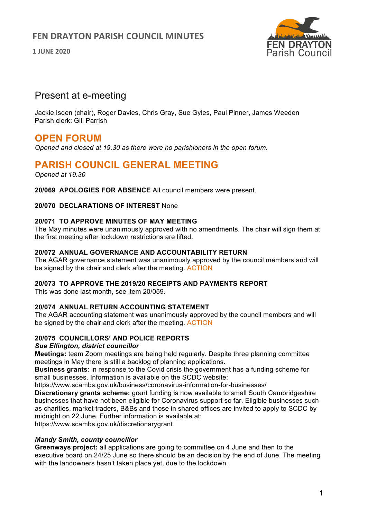## **FEN DRAYTON PARISH COUNCIL MINUTES**

**1 JUNE 2020**



# Present at e-meeting

Jackie Isden (chair), Roger Davies, Chris Gray, Sue Gyles, Paul Pinner, James Weeden Parish clerk: Gill Parrish

# **OPEN FORUM**

*Opened and closed at 19.30 as there were no parishioners in the open forum.*

# **PARISH COUNCIL GENERAL MEETING**

*Opened at 19.30*

**20/069 APOLOGIES FOR ABSENCE** All council members were present.

**20/070 DECLARATIONS OF INTEREST** None

## **20/071 TO APPROVE MINUTES OF MAY MEETING**

The May minutes were unanimously approved with no amendments. The chair will sign them at the first meeting after lockdown restrictions are lifted.

#### **20/072 ANNUAL GOVERNANCE AND ACCOUNTABILITY RETURN**

The AGAR governance statement was unanimously approved by the council members and will be signed by the chair and clerk after the meeting. ACTION

#### **20/073 TO APPROVE THE 2019/20 RECEIPTS AND PAYMENTS REPORT**

This was done last month, see item 20/059.

### **20/074 ANNUAL RETURN ACCOUNTING STATEMENT**

The AGAR accounting statement was unanimously approved by the council members and will be signed by the chair and clerk after the meeting. ACTION

### **20/075 COUNCILLORS' AND POLICE REPORTS**

#### *Sue Ellington, district councillor*

**Meetings:** team Zoom meetings are being held regularly. Despite three planning committee meetings in May there is still a backlog of planning applications.

**Business grants**: in response to the Covid crisis the government has a funding scheme for small businesses. Information is available on the SCDC website:

https://www.scambs.gov.uk/business/coronavirus-information-for-businesses/

**Discretionary grants scheme:** grant funding is now available to small South Cambridgeshire businesses that have not been eligible for Coronavirus support so far. Eligible businesses such as charities, market traders, B&Bs and those in shared offices are invited to apply to SCDC by midnight on 22 June. Further information is available at:

https://www.scambs.gov.uk/discretionarygrant

### *Mandy Smith, county councillor*

**Greenways project:** all applications are going to committee on 4 June and then to the executive board on 24/25 June so there should be an decision by the end of June. The meeting with the landowners hasn't taken place yet, due to the lockdown.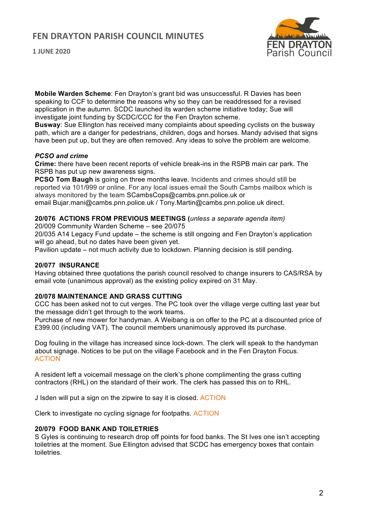## **FEN DRAYTON PARISH COUNCIL MINUTES**



**1 JUNE 2020**

**Mobile Warden Scheme**: Fen Drayton's grant bid was unsuccessful. R Davies has been speaking to CCF to determine the reasons why so they can be readdressed for a revised application in the autumn. SCDC launched its warden scheme initiative today; Sue will investigate joint funding by SCDC/CCC for the Fen Drayton scheme.

**Busway**: Sue Ellington has received many complaints about speeding cyclists on the busway path, which are a danger for pedestrians, children, dogs and horses. Mandy advised that signs have been put up, but they are often removed. Any ideas to solve the problem are welcome.

### *PCSO and crime*

**Crime:** there have been recent reports of vehicle break-ins in the RSPB main car park. The RSPB has put up new awareness signs.

**PCSO Tom Baugh** is going on three months leave. Incidents and crimes should still be reported via 101/999 or online. For any local issues email the South Cambs mailbox which is always monitored by the team SCambsCops@cambs.pnn.police.uk or

email Bujar.mani@cambs.pnn.police.uk / Tony.Martin@cambs.pnn.police.uk direct.

### **20/076 ACTIONS FROM PREVIOUS MEETINGS (***unless a separate agenda item)*

20/009 Community Warden Scheme – see 20/075

20/035 A14 Legacy Fund update – the scheme is still ongoing and Fen Drayton's application will go ahead, but no dates have been given yet.

Pavilion update – not much activity due to lockdown. Planning decision is still pending.

### **20/077 INSURANCE**

Having obtained three quotations the parish council resolved to change insurers to CAS/RSA by email vote (unanimous approval) as the existing policy expired on 31 May.

### **20/078 MAINTENANCE AND GRASS CUTTING**

CCC has been asked not to cut verges. The PC took over the village verge cutting last year but the message didn't get through to the work teams.

Purchase of new mower for handyman. A Weibang is on offer to the PC at a discounted price of £399.00 (including VAT). The council members unanimously approved its purchase.

Dog fouling in the village has increased since lock-down. The clerk will speak to the handyman about signage. Notices to be put on the village Facebook and in the Fen Drayton Focus. ACTION

A resident left a voicemail message on the clerk's phone complimenting the grass cutting contractors (RHL) on the standard of their work. The clerk has passed this on to RHL.

J Isden will put a sign on the zipwire to say it is closed. ACTION

Clerk to investigate no cycling signage for footpaths. ACTION

#### **20/079 FOOD BANK AND TOILETRIES**

S Gyles is continuing to research drop off points for food banks. The St Ives one isn't accepting toiletries at the moment. Sue Ellington advised that SCDC has emergency boxes that contain toiletries.